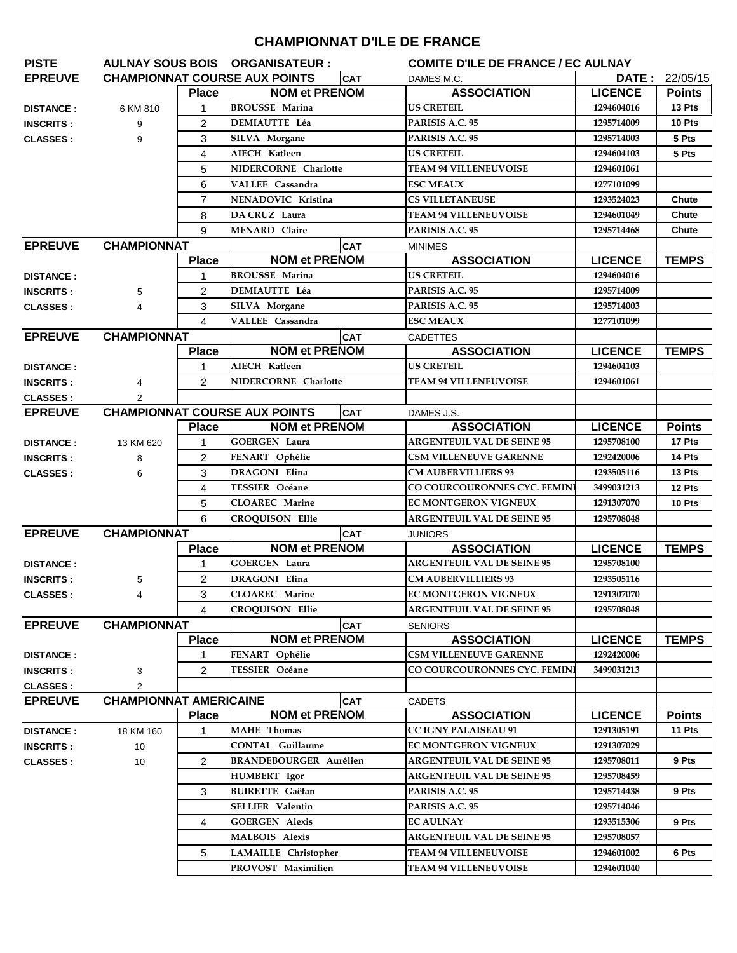## **CHAMPIONNAT D'ILE DE FRANCE**

| <b>PISTE</b>                         |                               |                | AULNAY SOUS BOIS ORGANISATEUR :      | <b>COMITE D'ILE DE FRANCE / EC AULNAY</b> |                                   |                |               |
|--------------------------------------|-------------------------------|----------------|--------------------------------------|-------------------------------------------|-----------------------------------|----------------|---------------|
| <b>EPREUVE</b>                       |                               |                | <b>CHAMPIONNAT COURSE AUX POINTS</b> | <b>CAT</b>                                | DAMES M.C.                        | <b>DATE:</b>   | 22/05/15      |
|                                      |                               | <b>Place</b>   | <b>NOM et PRENOM</b>                 |                                           | <b>ASSOCIATION</b>                | <b>LICENCE</b> | <b>Points</b> |
| <b>DISTANCE:</b>                     | 6 KM 810                      | $\mathbf 1$    | <b>BROUSSE Marina</b>                |                                           | <b>US CRETEIL</b>                 | 1294604016     | 13 Pts        |
| <b>INSCRITS:</b>                     | 9                             | $\overline{2}$ | <b>DEMIAUTTE Léa</b>                 |                                           | PARISIS A.C. 95                   | 1295714009     | 10 Pts        |
| <b>CLASSES:</b>                      | 9                             | 3              | SILVA Morgane                        |                                           | PARISIS A.C. 95                   | 1295714003     | 5 Pts         |
|                                      |                               | 4              | AIECH Katleen                        |                                           | <b>US CRETEIL</b>                 | 1294604103     | 5 Pts         |
|                                      |                               | 5              | NIDERCORNE Charlotte                 |                                           | <b>TEAM 94 VILLENEUVOISE</b>      | 1294601061     |               |
|                                      |                               | 6              | <b>VALLEE</b> Cassandra              |                                           | <b>ESC MEAUX</b>                  | 1277101099     |               |
|                                      |                               | $\overline{7}$ | NENADOVIC Kristina                   |                                           | <b>CS VILLETANEUSE</b>            | 1293524023     | Chute         |
|                                      |                               | 8              | DA CRUZ Laura                        |                                           | <b>TEAM 94 VILLENEUVOISE</b>      | 1294601049     | Chute         |
|                                      |                               | 9              | <b>MENARD</b> Claire                 |                                           | PARISIS A.C. 95                   | 1295714468     | Chute         |
| <b>EPREUVE</b><br><b>CHAMPIONNAT</b> |                               |                | <b>CAT</b>                           | <b>MINIMES</b>                            |                                   |                |               |
|                                      |                               | <b>Place</b>   | <b>NOM et PRENOM</b>                 |                                           | <b>ASSOCIATION</b>                | <b>LICENCE</b> | <b>TEMPS</b>  |
| <b>DISTANCE:</b>                     |                               | 1              | <b>BROUSSE Marina</b>                |                                           | <b>US CRETEIL</b>                 | 1294604016     |               |
| <b>INSCRITS:</b>                     | 5                             | 2              | <b>DEMIAUTTE Léa</b>                 |                                           | PARISIS A.C. 95                   | 1295714009     |               |
| <b>CLASSES:</b>                      | 4                             | 3              | <b>SILVA</b> Morgane                 |                                           | PARISIS A.C. 95                   | 1295714003     |               |
|                                      |                               | $\overline{4}$ | VALLEE Cassandra                     |                                           | <b>ESC MEAUX</b>                  | 1277101099     |               |
| <b>EPREUVE</b>                       | <b>CHAMPIONNAT</b>            |                |                                      | <b>CAT</b>                                | <b>CADETTES</b>                   |                |               |
|                                      |                               | <b>Place</b>   | <b>NOM et PRENOM</b>                 |                                           | <b>ASSOCIATION</b>                | <b>LICENCE</b> | <b>TEMPS</b>  |
| <b>DISTANCE:</b>                     |                               | 1              | AIECH Katleen                        |                                           | <b>US CRETEIL</b>                 | 1294604103     |               |
| <b>INSCRITS:</b>                     | 4                             | 2              | NIDERCORNE Charlotte                 |                                           | <b>TEAM 94 VILLENEUVOISE</b>      | 1294601061     |               |
| <b>CLASSES:</b>                      |                               |                |                                      |                                           |                                   |                |               |
| <b>EPREUVE</b>                       |                               |                | <b>CHAMPIONNAT COURSE AUX POINTS</b> | <b>CAT</b>                                | DAMES J.S.                        |                |               |
|                                      |                               | <b>Place</b>   | <b>NOM et PRENOM</b>                 |                                           | <b>ASSOCIATION</b>                | <b>LICENCE</b> | <b>Points</b> |
| <b>DISTANCE:</b>                     | 13 KM 620                     | 1              | <b>GOERGEN Laura</b>                 |                                           | <b>ARGENTEUIL VAL DE SEINE 95</b> | 1295708100     | 17 Pts        |
| <b>INSCRITS:</b>                     | 8                             | $\overline{2}$ | FENART Ophélie                       |                                           | <b>CSM VILLENEUVE GARENNE</b>     | 1292420006     | 14 Pts        |
| <b>CLASSES:</b>                      | 6                             | 3              | <b>DRAGONI Elina</b>                 |                                           | <b>CM AUBERVILLIERS 93</b>        | 1293505116     | 13 Pts        |
|                                      |                               | 4              | <b>TESSIER Océane</b>                |                                           | CO COURCOURONNES CYC. FEMINI      | 3499031213     | 12 Pts        |
|                                      |                               | 5              | <b>CLOAREC</b> Marine                |                                           | <b>EC MONTGERON VIGNEUX</b>       | 1291307070     | 10 Pts        |
|                                      |                               | 6              | <b>CROQUISON Ellie</b>               |                                           | <b>ARGENTEUIL VAL DE SEINE 95</b> | 1295708048     |               |
| <b>EPREUVE</b>                       | <b>CHAMPIONNAT</b>            |                |                                      | <b>CAT</b>                                | <b>JUNIORS</b>                    |                |               |
|                                      |                               | <b>Place</b>   | <b>NOM et PRENOM</b>                 |                                           | <b>ASSOCIATION</b>                | <b>LICENCE</b> | <b>TEMPS</b>  |
| <b>DISTANCE:</b>                     |                               | $\mathbf{1}$   | <b>GOERGEN Laura</b>                 |                                           | <b>ARGENTEUIL VAL DE SEINE 95</b> | 1295708100     |               |
| <b>INSCRITS:</b>                     | 5                             | 2              | DRAGONI Elina                        |                                           | <b>CM AUBERVILLIERS 93</b>        | 1293505116     |               |
| <b>CLASSES:</b>                      | 4                             | 3              | <b>CLOAREC</b> Marine                |                                           | <b>EC MONTGERON VIGNEUX</b>       | 1291307070     |               |
|                                      |                               | 4              | <b>CROOUISON Ellie</b>               |                                           | <b>ARGENTEUIL VAL DE SEINE 95</b> | 1295708048     |               |
| <b>EPREUVE</b>                       | <b>CHAMPIONNAT</b>            |                |                                      | CAT                                       | <b>SENIORS</b>                    |                |               |
|                                      |                               | <b>Place</b>   | <b>NOM et PRENOM</b>                 |                                           | <b>ASSOCIATION</b>                | <b>LICENCE</b> | <b>TEMPS</b>  |
| <b>DISTANCE:</b>                     |                               | 1              | FENART Ophélie                       |                                           | <b>CSM VILLENEUVE GARENNE</b>     | 1292420006     |               |
| <b>INSCRITS:</b>                     | 3                             | 2              | <b>TESSIER Océane</b>                |                                           | CO COURCOURONNES CYC. FEMINI      | 3499031213     |               |
| <b>CLASSES:</b>                      | 2                             |                |                                      |                                           |                                   |                |               |
| <b>EPREUVE</b>                       | <b>CHAMPIONNAT AMERICAINE</b> |                |                                      | <b>CAT</b>                                | <b>CADETS</b>                     |                |               |
|                                      |                               | <b>Place</b>   | <b>NOM et PRENOM</b>                 |                                           | <b>ASSOCIATION</b>                | <b>LICENCE</b> | <b>Points</b> |
| <b>DISTANCE:</b>                     | 18 KM 160                     | $\mathbf{1}$   | <b>MAHE</b> Thomas                   |                                           | <b>CC IGNY PALAISEAU 91</b>       | 1291305191     | 11 Pts        |
| <b>INSCRITS:</b>                     | 10                            |                | <b>CONTAL Guillaume</b>              |                                           | EC MONTGERON VIGNEUX              | 1291307029     |               |
| <b>CLASSES:</b>                      | 10                            | $\overline{2}$ | <b>BRANDEBOURGER Aurélien</b>        |                                           | <b>ARGENTEUIL VAL DE SEINE 95</b> | 1295708011     | 9 Pts         |
|                                      |                               |                | HUMBERT Igor                         |                                           | <b>ARGENTEUIL VAL DE SEINE 95</b> | 1295708459     |               |
|                                      |                               | 3              | <b>BUIRETTE</b> Gaëtan               |                                           | PARISIS A.C. 95                   | 1295714438     | 9 Pts         |
|                                      |                               |                | <b>SELLIER Valentin</b>              |                                           | PARISIS A.C. 95                   | 1295714046     |               |
|                                      |                               | 4              | <b>GOERGEN Alexis</b>                |                                           | <b>EC AULNAY</b>                  | 1293515306     | 9 Pts         |
|                                      |                               |                | <b>MALBOIS Alexis</b>                |                                           | <b>ARGENTEUIL VAL DE SEINE 95</b> | 1295708057     |               |
|                                      |                               | 5              | LAMAILLE Christopher                 |                                           | <b>TEAM 94 VILLENEUVOISE</b>      | 1294601002     | 6 Pts         |
|                                      |                               |                | PROVOST Maximilien                   |                                           | <b>TEAM 94 VILLENEUVOISE</b>      | 1294601040     |               |